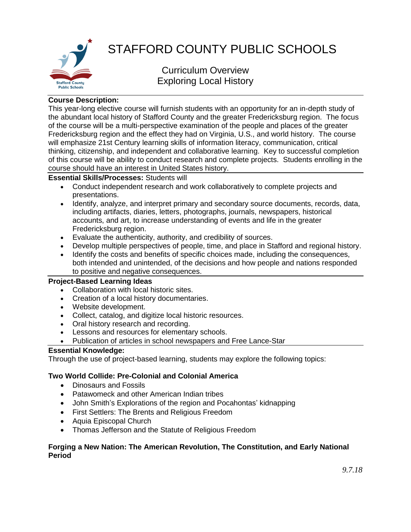

# STAFFORD COUNTY PUBLIC SCHOOLS

Curriculum Overview Exploring Local History

## **Course Description:**

This year-long elective course will furnish students with an opportunity for an in-depth study of the abundant local history of Stafford County and the greater Fredericksburg region. The focus of the course will be a multi-perspective examination of the people and places of the greater Fredericksburg region and the effect they had on Virginia, U.S., and world history. The course will emphasize 21st Century learning skills of information literacy, communication, critical thinking, citizenship, and independent and collaborative learning. Key to successful completion of this course will be ability to conduct research and complete projects. Students enrolling in the course should have an interest in United States history.

## **Essential Skills/Processes:** Students will

- Conduct independent research and work collaboratively to complete projects and presentations.
- Identify, analyze, and interpret primary and secondary source documents, records, data, including artifacts, diaries, letters, photographs, journals, newspapers, historical accounts, and art, to increase understanding of events and life in the greater Fredericksburg region.
- Evaluate the authenticity, authority, and credibility of sources.
- Develop multiple perspectives of people, time, and place in Stafford and regional history.
- Identify the costs and benefits of specific choices made, including the consequences, both intended and unintended, of the decisions and how people and nations responded to positive and negative consequences.

#### **Project-Based Learning Ideas**

- Collaboration with local historic sites.
- Creation of a local history documentaries.
- Website development.
- Collect, catalog, and digitize local historic resources.
- Oral history research and recording.
- Lessons and resources for elementary schools.
- Publication of articles in school newspapers and Free Lance-Star

#### **Essential Knowledge:**

Through the use of project-based learning, students may explore the following topics:

#### **Two World Collide: Pre-Colonial and Colonial America**

- Dinosaurs and Fossils
- Patawomeck and other American Indian tribes
- John Smith's Explorations of the region and Pocahontas' kidnapping
- First Settlers: The Brents and Religious Freedom
- Aquia Episcopal Church
- Thomas Jefferson and the Statute of Religious Freedom

#### **Forging a New Nation: The American Revolution, The Constitution, and Early National Period**